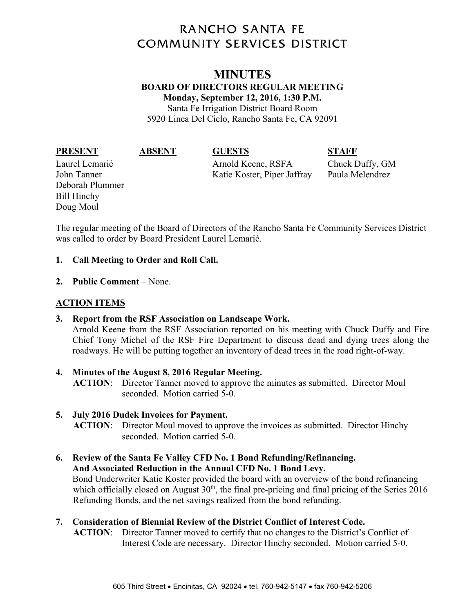# **RANCHO SANTA FE COMMUNITY SERVICES DISTRICT**

# **MINUTES BOARD OF DIRECTORS REGULAR MEETING Monday, September 12, 2016, 1:30 P.M.**  Santa Fe Irrigation District Board Room

5920 Linea Del Cielo, Rancho Santa Fe, CA 92091

#### **PRESENT ABSENT GUESTS STAFF**

Deborah Plummer Bill Hinchy Doug Moul

Laurel Lemarié Arnold Keene, RSFA Chuck Duffy, GM John Tanner Katie Koster, Piper Jaffray Paula Melendrez

The regular meeting of the Board of Directors of the Rancho Santa Fe Community Services District was called to order by Board President Laurel Lemarié.

## **1. Call Meeting to Order and Roll Call.**

**2. Public Comment** – None.

# **ACTION ITEMS**

- **3. Report from the RSF Association on Landscape Work.**  Arnold Keene from the RSF Association reported on his meeting with Chuck Duffy and Fire Chief Tony Michel of the RSF Fire Department to discuss dead and dying trees along the roadways. He will be putting together an inventory of dead trees in the road right-of-way.
- **4. Minutes of the August 8, 2016 Regular Meeting. ACTION**: Director Tanner moved to approve the minutes as submitted. Director Moul seconded. Motion carried 5-0.

### **5. July 2016 Dudek Invoices for Payment.**

**ACTION**: Director Moul moved to approve the invoices as submitted. Director Hinchy seconded. Motion carried 5-0.

### **6. Review of the Santa Fe Valley CFD No. 1 Bond Refunding/Refinancing. And Associated Reduction in the Annual CFD No. 1 Bond Levy.**  Bond Underwriter Katie Koster provided the board with an overview of the bond refinancing which officially closed on August  $30<sup>th</sup>$ , the final pre-pricing and final pricing of the Series 2016 Refunding Bonds, and the net savings realized from the bond refunding.

# **7. Consideration of Biennial Review of the District Conflict of Interest Code.**

**ACTION**: Director Tanner moved to certify that no changes to the District's Conflict of Interest Code are necessary. Director Hinchy seconded. Motion carried 5-0.